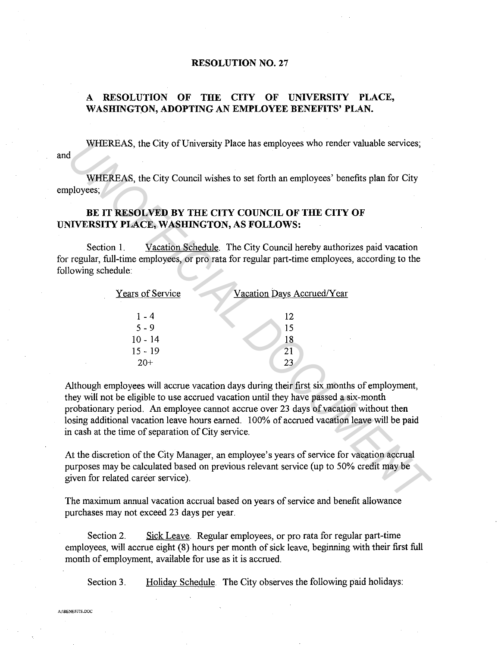## **RESOLUTION NO. 27**

## **A RESOLUTION OF THE CITY OF UNIVERSITY PLACE, WASHINGTON, ADOPTING AN EMPLOYEE BENEFITS' PLAN.**

WHEREAS, the City of University Place has employees who render valuable services;

and

## BE IT **RESOLVED BY THE CITY COUNCIL OF THE CITY OF UNIVERSITY PLACE, WASHINGTON, AS FOLLOWS:**

| WHEREAS, the City of University Place has employees who render valuable services;<br>1                                                                                                                                                                                                                                                                                                                                     |
|----------------------------------------------------------------------------------------------------------------------------------------------------------------------------------------------------------------------------------------------------------------------------------------------------------------------------------------------------------------------------------------------------------------------------|
| WHEREAS, the City Council wishes to set forth an employees' benefits plan for City<br>ployees;                                                                                                                                                                                                                                                                                                                             |
| BE IT RESOLVED BY THE CITY COUNCIL OF THE CITY OF<br><b>NIVERSITY PLACE, WASHINGTON, AS FOLLOWS:</b>                                                                                                                                                                                                                                                                                                                       |
| Vacation Schedule. The City Council hereby authorizes paid vacation<br>Section 1.<br>regular, full-time employees, or pro rata for regular part-time employees, according to the<br>lowing schedule:                                                                                                                                                                                                                       |
| Years of Service<br>Vacation Days Accrued/Year                                                                                                                                                                                                                                                                                                                                                                             |
| $1 - 4$<br>12<br>$5 - 9$<br>15<br>$10 - 14$<br>18<br>$15 - 19$<br>21<br>23<br>$20+$                                                                                                                                                                                                                                                                                                                                        |
| Although employees will accrue vacation days during their first six months of employment,<br>hey will not be eligible to use accrued vacation until they have passed a six-month<br>probationary period. An employee cannot accrue over 23 days of vacation without then<br>osing additional vacation leave hours earned. 100% of accrued vacation leave will be paid<br>n cash at the time of separation of City service. |
| At the discretion of the City Manager, an employee's years of service for vacation accrual<br>ourposes may be calculated based on previous relevant service (up to 50% credit may be<br>ziven for related career service).                                                                                                                                                                                                 |
| The maximum annual vacation accrual based on vears of service and benefit allowance                                                                                                                                                                                                                                                                                                                                        |

The maximum annual vacation accrual based on years of service and benefit allowance purchases may not exceed 23 days per year.

Section 2. Sick Leave. Regular employees, or pro rata for regular part-time employees, will accrue eight (8) hours per month of sick leave, beginning with their first full month of employment, available for use as it is accrued.

Section 3. Holiday Schedule. The City observes the following paid holidays: